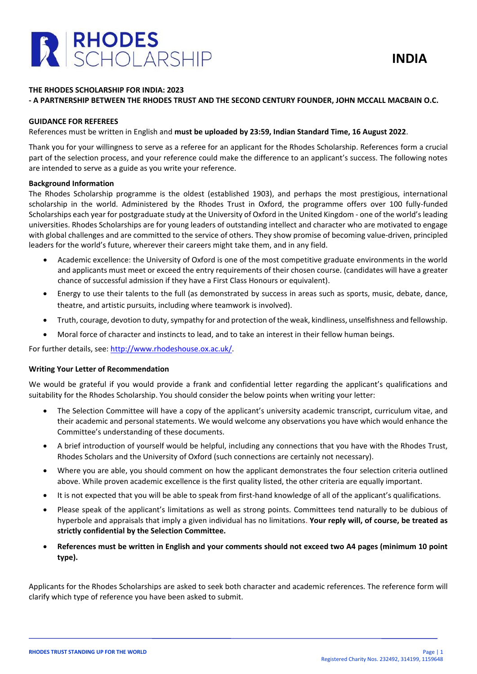

### **THE RHODES SCHOLARSHIP FOR INDIA: 2023**

## **- A PARTNERSHIP BETWEEN THE RHODES TRUST AND THE SECOND CENTURY FOUNDER, JOHN MCCALL MACBAIN O.C.**

#### **GUIDANCE FOR REFEREES**

References must be written in English and **must be uploaded by 23:59, Indian Standard Time, 16 August 2022**.

Thank you for your willingness to serve as a referee for an applicant for the Rhodes Scholarship. References form a crucial part of the selection process, and your reference could make the difference to an applicant's success. The following notes are intended to serve as a guide as you write your reference.

### **Background Information**

The Rhodes Scholarship programme is the oldest (established 1903), and perhaps the most prestigious, international scholarship in the world. Administered by the Rhodes Trust in Oxford, the programme offers over 100 fully-funded Scholarships each year for postgraduate study at the University of Oxford in the United Kingdom - one of the world's leading universities. Rhodes Scholarships are for young leaders of outstanding intellect and character who are motivated to engage with global challenges and are committed to the service of others. They show promise of becoming value-driven, principled leaders for the world's future, wherever their careers might take them, and in any field.

- Academic excellence: the University of Oxford is one of the most competitive graduate environments in the world and applicants must meet or exceed the entry requirements of their chosen course. (candidates will have a greater chance of successful admission if they have a First Class Honours or equivalent).
- Energy to use their talents to the full (as demonstrated by success in areas such as sports, music, debate, dance, theatre, and artistic pursuits, including where teamwork is involved).
- Truth, courage, devotion to duty, sympathy for and protection of the weak, kindliness, unselfishness and fellowship.
- Moral force of character and instincts to lead, and to take an interest in their fellow human beings.

For further details, see: [http://www.rhodeshouse.ox.ac.uk/.](http://www.rhodeshouse.ox.ac.uk/)

#### **Writing Your Letter of Recommendation**

We would be grateful if you would provide a frank and confidential letter regarding the applicant's qualifications and suitability for the Rhodes Scholarship. You should consider the below points when writing your letter:

- The Selection Committee will have a copy of the applicant's university academic transcript, curriculum vitae, and their academic and personal statements. We would welcome any observations you have which would enhance the Committee's understanding of these documents.
- A brief introduction of yourself would be helpful, including any connections that you have with the Rhodes Trust, Rhodes Scholars and the University of Oxford (such connections are certainly not necessary).
- Where you are able, you should comment on how the applicant demonstrates the four selection criteria outlined above. While proven academic excellence is the first quality listed, the other criteria are equally important.
- It is not expected that you will be able to speak from first-hand knowledge of all of the applicant's qualifications.
- Please speak of the applicant's limitations as well as strong points. Committees tend naturally to be dubious of hyperbole and appraisals that imply a given individual has no limitations. **Your reply will, of course, be treated as strictly confidential by the Selection Committee.**
- **References must be written in English and your comments should not exceed two A4 pages (minimum 10 point type).**

Applicants for the Rhodes Scholarships are asked to seek both character and academic references. The reference form will clarify which type of reference you have been asked to submit.